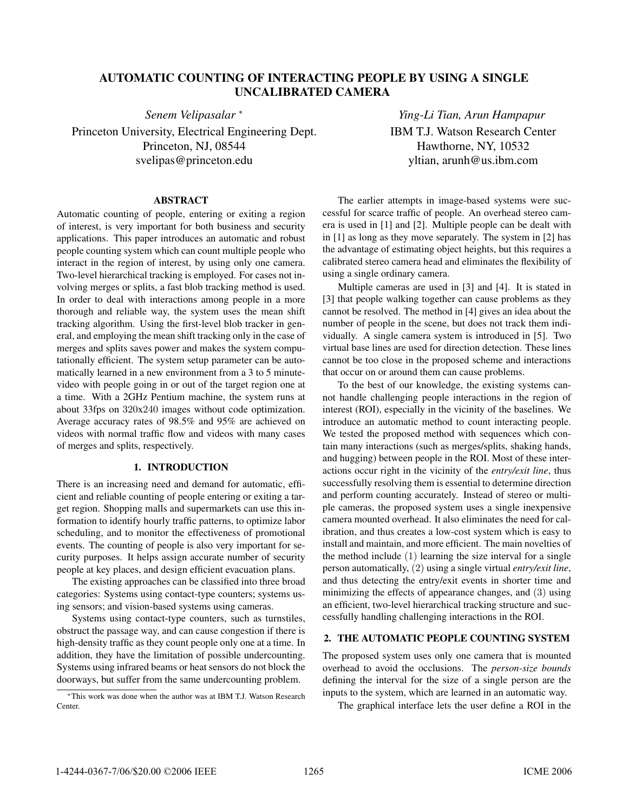# **AUTOMATIC COUNTING OF INTERACTING PEOPLE BY USING A SINGLE UNCALIBRATED CAMERA**

*Senem Velipasalar* <sup>∗</sup>

Princeton University, Electrical Engineering Dept. Princeton, NJ, 08544 svelipas@princeton.edu

*Ying-Li Tian, Arun Hampapur* IBM T.J. Watson Research Center Hawthorne, NY, 10532 yltian, arunh@us.ibm.com

# **ABSTRACT**

Automatic counting of people, entering or exiting a region of interest, is very important for both business and security applications. This paper introduces an automatic and robust people counting system which can count multiple people who interact in the region of interest, by using only one camera. Two-level hierarchical tracking is employed. For cases not involving merges or splits, a fast blob tracking method is used. In order to deal with interactions among people in a more thorough and reliable way, the system uses the mean shift tracking algorithm. Using the first-level blob tracker in general, and employing the mean shift tracking only in the case of merges and splits saves power and makes the system computationally efficient. The system setup parameter can be automatically learned in a new environment from a 3 to 5 minutevideo with people going in or out of the target region one at a time. With a 2GHz Pentium machine, the system runs at about 33fps on 320x240 images without code optimization. Average accuracy rates of 98.5% and 95% are achieved on videos with normal traffic flow and videos with many cases of merges and splits, respectively.

# **1. INTRODUCTION**

There is an increasing need and demand for automatic, efficient and reliable counting of people entering or exiting a target region. Shopping malls and supermarkets can use this information to identify hourly traffic patterns, to optimize labor scheduling, and to monitor the effectiveness of promotional events. The counting of people is also very important for security purposes. It helps assign accurate number of security people at key places, and design efficient evacuation plans.

The existing approaches can be classified into three broad categories: Systems using contact-type counters; systems using sensors; and vision-based systems using cameras.

Systems using contact-type counters, such as turnstiles, obstruct the passage way, and can cause congestion if there is high-density traffic as they count people only one at a time. In addition, they have the limitation of possible undercounting. Systems using infrared beams or heat sensors do not block the doorways, but suffer from the same undercounting problem.

<sup>∗</sup>This work was done when the author was at IBM T.J. Watson Research Center.

The earlier attempts in image-based systems were successful for scarce traffic of people. An overhead stereo camera is used in [1] and [2]. Multiple people can be dealt with in [1] as long as they move separately. The system in [2] has the advantage of estimating object heights, but this requires a calibrated stereo camera head and eliminates the flexibility of using a single ordinary camera.

Multiple cameras are used in [3] and [4]. It is stated in [3] that people walking together can cause problems as they cannot be resolved. The method in [4] gives an idea about the number of people in the scene, but does not track them individually. A single camera system is introduced in [5]. Two virtual base lines are used for direction detection. These lines cannot be too close in the proposed scheme and interactions that occur on or around them can cause problems.

To the best of our knowledge, the existing systems cannot handle challenging people interactions in the region of interest (ROI), especially in the vicinity of the baselines. We introduce an automatic method to count interacting people. We tested the proposed method with sequences which contain many interactions (such as merges/splits, shaking hands, and hugging) between people in the ROI. Most of these interactions occur right in the vicinity of the *entry/exit line*, thus successfully resolving them is essential to determine direction and perform counting accurately. Instead of stereo or multiple cameras, the proposed system uses a single inexpensive camera mounted overhead. It also eliminates the need for calibration, and thus creates a low-cost system which is easy to install and maintain, and more efficient. The main novelties of the method include (1) learning the size interval for a single person automatically, (2) using a single virtual *entry/exit line*, and thus detecting the entry/exit events in shorter time and minimizing the effects of appearance changes, and (3) using an efficient, two-level hierarchical tracking structure and successfully handling challenging interactions in the ROI.

#### **2. THE AUTOMATIC PEOPLE COUNTING SYSTEM**

The proposed system uses only one camera that is mounted overhead to avoid the occlusions. The *person-size bounds* defining the interval for the size of a single person are the inputs to the system, which are learned in an automatic way.

The graphical interface lets the user define a ROI in the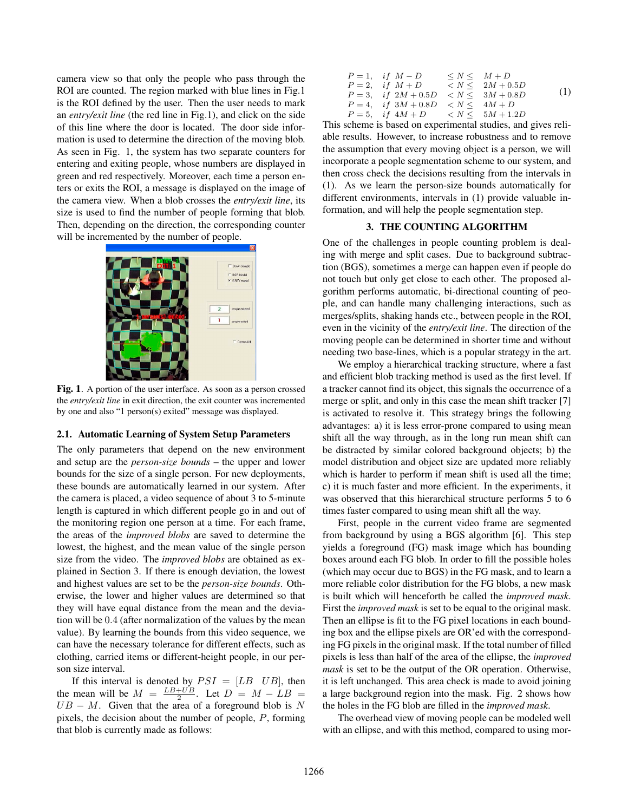camera view so that only the people who pass through the ROI are counted. The region marked with blue lines in Fig.1 is the ROI defined by the user. Then the user needs to mark an *entry/exit line* (the red line in Fig.1), and click on the side of this line where the door is located. The door side information is used to determine the direction of the moving blob. As seen in Fig. 1, the system has two separate counters for entering and exiting people, whose numbers are displayed in green and red respectively. Moreover, each time a person enters or exits the ROI, a message is displayed on the image of the camera view. When a blob crosses the *entry/exit line*, its size is used to find the number of people forming that blob. Then, depending on the direction, the corresponding counter will be incremented by the number of people.



**Fig. 1**. A portion of the user interface. As soon as a person crossed the *entry/exit line* in exit direction, the exit counter was incremented by one and also "1 person(s) exited" message was displayed.

#### **2.1. Automatic Learning of System Setup Parameters**

The only parameters that depend on the new environment and setup are the *person-size bounds* – the upper and lower bounds for the size of a single person. For new deployments, these bounds are automatically learned in our system. After the camera is placed, a video sequence of about 3 to 5-minute length is captured in which different people go in and out of the monitoring region one person at a time. For each frame, the areas of the *improved blobs* are saved to determine the lowest, the highest, and the mean value of the single person size from the video. The *improved blobs* are obtained as explained in Section 3. If there is enough deviation, the lowest and highest values are set to be the *person-size bounds*. Otherwise, the lower and higher values are determined so that they will have equal distance from the mean and the deviation will be 0.4 (after normalization of the values by the mean value). By learning the bounds from this video sequence, we can have the necessary tolerance for different effects, such as clothing, carried items or different-height people, in our person size interval.

If this interval is denoted by  $PSI = [LB \; UB]$ , then the mean will be  $M = \frac{LB + UB}{2}$ . Let  $D = M - LB$  $UB - M$ . Given that the area of a foreground blob is N pixels, the decision about the number of people, P, forming that blob is currently made as follows:

| $P=1$ , if $M-D$                                        | $\leq N \leq M+D$ |     |
|---------------------------------------------------------|-------------------|-----|
| $P = 2$ , if $M + D$ $\langle N \leq 2M + 0.5D \rangle$ |                   |     |
| $P = 3$ , if $2M + 0.5D \le N \le 3M + 0.8D$            |                   | (1) |
| $P = 4$ , if $3M + 0.8D < N < 4M + D$                   |                   |     |
| $P = 5$ , if $4M + D$ $\lt N \lt 5M + 1.2D$             |                   |     |

This scheme is based on experimental studies, and gives reliable results. However, to increase robustness and to remove the assumption that every moving object is a person, we will incorporate a people segmentation scheme to our system, and then cross check the decisions resulting from the intervals in (1). As we learn the person-size bounds automatically for different environments, intervals in (1) provide valuable information, and will help the people segmentation step.

#### **3. THE COUNTING ALGORITHM**

One of the challenges in people counting problem is dealing with merge and split cases. Due to background subtraction (BGS), sometimes a merge can happen even if people do not touch but only get close to each other. The proposed algorithm performs automatic, bi-directional counting of people, and can handle many challenging interactions, such as merges/splits, shaking hands etc., between people in the ROI, even in the vicinity of the *entry/exit line*. The direction of the moving people can be determined in shorter time and without needing two base-lines, which is a popular strategy in the art.

We employ a hierarchical tracking structure, where a fast and efficient blob tracking method is used as the first level. If a tracker cannot find its object, this signals the occurrence of a merge or split, and only in this case the mean shift tracker [7] is activated to resolve it. This strategy brings the following advantages: a) it is less error-prone compared to using mean shift all the way through, as in the long run mean shift can be distracted by similar colored background objects; b) the model distribution and object size are updated more reliably which is harder to perform if mean shift is used all the time; c) it is much faster and more efficient. In the experiments, it was observed that this hierarchical structure performs 5 to 6 times faster compared to using mean shift all the way.

First, people in the current video frame are segmented from background by using a BGS algorithm [6]. This step yields a foreground (FG) mask image which has bounding boxes around each FG blob. In order to fill the possible holes (which may occur due to BGS) in the FG mask, and to learn a more reliable color distribution for the FG blobs, a new mask is built which will henceforth be called the *improved mask*. First the *improved mask* is set to be equal to the original mask. Then an ellipse is fit to the FG pixel locations in each bounding box and the ellipse pixels are OR'ed with the corresponding FG pixels in the original mask. If the total number of filled pixels is less than half of the area of the ellipse, the *improved mask* is set to be the output of the OR operation. Otherwise, it is left unchanged. This area check is made to avoid joining a large background region into the mask. Fig. 2 shows how the holes in the FG blob are filled in the *improved mask*.

The overhead view of moving people can be modeled well with an ellipse, and with this method, compared to using mor-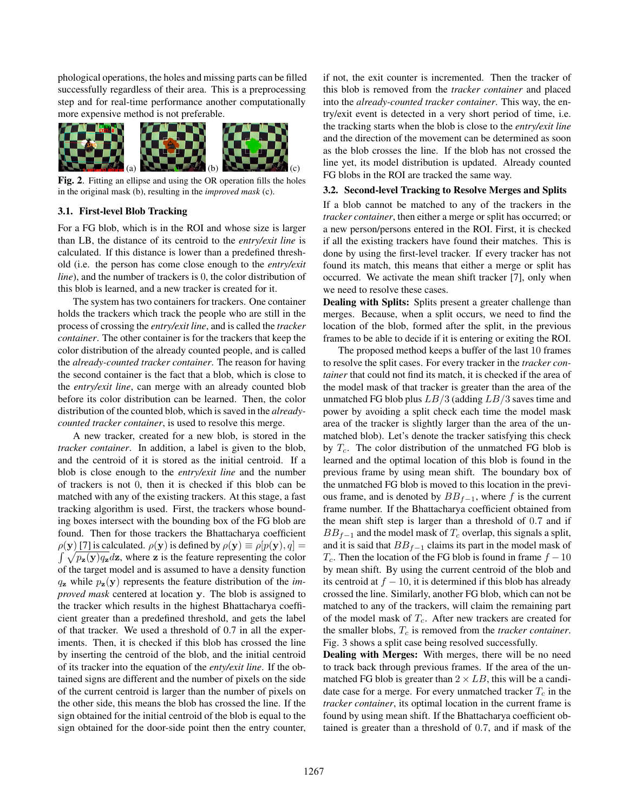phological operations, the holes and missing parts can be filled successfully regardless of their area. This is a preprocessing step and for real-time performance another computationally more expensive method is not preferable.



**Fig. 2**. Fitting an ellipse and using the OR operation fills the holes in the original mask (b), resulting in the *improved mask* (c).

## **3.1. First-level Blob Tracking**

For a FG blob, which is in the ROI and whose size is larger than LB, the distance of its centroid to the *entry/exit line* is calculated. If this distance is lower than a predefined threshold (i.e. the person has come close enough to the *entry/exit line*), and the number of trackers is 0, the color distribution of this blob is learned, and a new tracker is created for it.

The system has two containers for trackers. One container holds the trackers which track the people who are still in the process of crossing the *entry/exit line*, and is called the *tracker container*. The other container is for the trackers that keep the color distribution of the already counted people, and is called the *already-counted tracker container*. The reason for having the second container is the fact that a blob, which is close to the *entry/exit line*, can merge with an already counted blob before its color distribution can be learned. Then, the color distribution of the counted blob, which is saved in the *alreadycounted tracker container*, is used to resolve this merge.

A new tracker, created for a new blob, is stored in the *tracker container*. In addition, a label is given to the blob, and the centroid of it is stored as the initial centroid. If a blob is close enough to the *entry/exit line* and the number of trackers is not 0, then it is checked if this blob can be matched with any of the existing trackers. At this stage, a fast tracking algorithm is used. First, the trackers whose bounding boxes intersect with the bounding box of the FG blob are found. Then for those trackers the Bhattacharya coefficient  $\rho(\mathbf{y})$  [7] is calculated.  $\rho(\mathbf{y})$  is defined by  $\rho(\mathbf{y}) \equiv \rho[p(\mathbf{y}), q] =$  $\int \sqrt{p_{z}(y)q_{z}}dz$ , where **z** is the feature representing the color of the target model and is assumed to have a density function  $q_{z}$  while  $p_{z}(y)$  represents the feature distribution of the *improved mask* centered at location **y**. The blob is assigned to the tracker which results in the highest Bhattacharya coefficient greater than a predefined threshold, and gets the label of that tracker. We used a threshold of 0.7 in all the experiments. Then, it is checked if this blob has crossed the line by inserting the centroid of the blob, and the initial centroid of its tracker into the equation of the *enty/exit line*. If the obtained signs are different and the number of pixels on the side of the current centroid is larger than the number of pixels on the other side, this means the blob has crossed the line. If the sign obtained for the initial centroid of the blob is equal to the sign obtained for the door-side point then the entry counter,

if not, the exit counter is incremented. Then the tracker of this blob is removed from the *tracker container* and placed into the *already-counted tracker container*. This way, the entry/exit event is detected in a very short period of time, i.e. the tracking starts when the blob is close to the *entry/exit line* and the direction of the movement can be determined as soon as the blob crosses the line. If the blob has not crossed the line yet, its model distribution is updated. Already counted FG blobs in the ROI are tracked the same way.

# **3.2. Second-level Tracking to Resolve Merges and Splits**

If a blob cannot be matched to any of the trackers in the *tracker container*, then either a merge or split has occurred; or a new person/persons entered in the ROI. First, it is checked if all the existing trackers have found their matches. This is done by using the first-level tracker. If every tracker has not found its match, this means that either a merge or split has occurred. We activate the mean shift tracker [7], only when we need to resolve these cases.

**Dealing with Splits:** Splits present a greater challenge than merges. Because, when a split occurs, we need to find the location of the blob, formed after the split, in the previous frames to be able to decide if it is entering or exiting the ROI.

The proposed method keeps a buffer of the last 10 frames to resolve the split cases. For every tracker in the *tracker container* that could not find its match, it is checked if the area of the model mask of that tracker is greater than the area of the unmatched FG blob plus  $LB/3$  (adding  $LB/3$  saves time and power by avoiding a split check each time the model mask area of the tracker is slightly larger than the area of the unmatched blob). Let's denote the tracker satisfying this check by  $T_c$ . The color distribution of the unmatched FG blob is learned and the optimal location of this blob is found in the previous frame by using mean shift. The boundary box of the unmatched FG blob is moved to this location in the previous frame, and is denoted by  $BB_{f-1}$ , where f is the current frame number. If the Bhattacharya coefficient obtained from the mean shift step is larger than a threshold of 0.7 and if  $BB_{f-1}$  and the model mask of  $T_c$  overlap, this signals a split, and it is said that  $BB_{f-1}$  claims its part in the model mask of  $T_c$ . Then the location of the FG blob is found in frame  $f - 10$ by mean shift. By using the current centroid of the blob and its centroid at  $f - 10$ , it is determined if this blob has already crossed the line. Similarly, another FG blob, which can not be matched to any of the trackers, will claim the remaining part of the model mask of  $T_c$ . After new trackers are created for the smaller blobs,  $T_c$  is removed from the *tracker container*. Fig. 3 shows a split case being resolved successfully.

**Dealing with Merges:** With merges, there will be no need to track back through previous frames. If the area of the unmatched FG blob is greater than  $2 \times LB$ , this will be a candidate case for a merge. For every unmatched tracker  $T_c$  in the *tracker container*, its optimal location in the current frame is found by using mean shift. If the Bhattacharya coefficient obtained is greater than a threshold of 0.7, and if mask of the